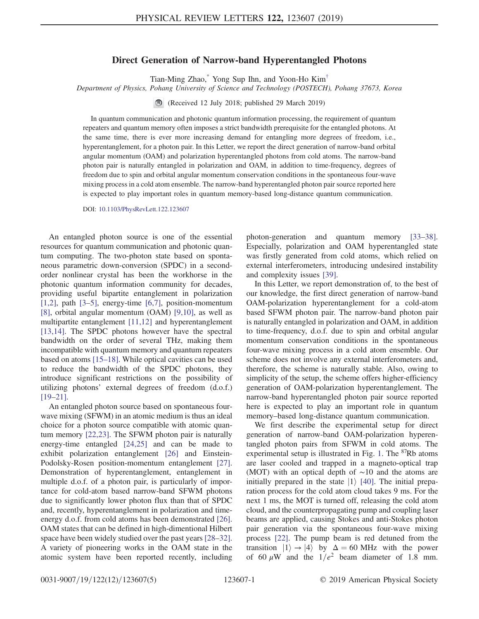## Direct Generation of Narrow-band Hyperentangled Photons

Tian-Ming Zhao[,\\*](#page-3-0) Yong Sup Ihn, and Yoon-Ho Kim[†](#page-3-1)

<span id="page-0-0"></span>Department of Physics, Pohang University of Science and Technology (POSTECH), Pohang 37673, Korea

(Received 12 July 2018; published 29 March 2019)

In quantum communication and photonic quantum information processing, the requirement of quantum repeaters and quantum memory often imposes a strict bandwidth prerequisite for the entangled photons. At the same time, there is ever more increasing demand for entangling more degrees of freedom, i.e., hyperentanglement, for a photon pair. In this Letter, we report the direct generation of narrow-band orbital angular momentum (OAM) and polarization hyperentangled photons from cold atoms. The narrow-band photon pair is naturally entangled in polarization and OAM, in addition to time-frequency, degrees of freedom due to spin and orbital angular momentum conservation conditions in the spontaneous four-wave mixing process in a cold atom ensemble. The narrow-band hyperentangled photon pair source reported here is expected to play important roles in quantum memory-based long-distance quantum communication.

DOI: [10.1103/PhysRevLett.122.123607](https://doi.org/10.1103/PhysRevLett.122.123607)

An entangled photon source is one of the essential resources for quantum communication and photonic quantum computing. The two-photon state based on spontaneous parametric down-conversion (SPDC) in a secondorder nonlinear crystal has been the workhorse in the photonic quantum information community for decades, providing useful bipartite entanglement in polarization [\[1,2\],](#page-3-2) path [3–[5\]](#page-3-3), energy-time [\[6,7\],](#page-4-0) position-momentum [\[8\]](#page-4-1), orbital angular momentum (OAM) [\[9,10\],](#page-4-2) as well as multipartite entanglement [\[11,12\]](#page-4-3) and hyperentanglement [\[13,14\]](#page-4-4). The SPDC photons however have the spectral bandwidth on the order of several THz, making them incompatible with quantum memory and quantum repeaters based on atoms [\[15](#page-4-5)–18]. While optical cavities can be used to reduce the bandwidth of the SPDC photons, they introduce significant restrictions on the possibility of utilizing photons' external degrees of freedom (d.o.f.) [\[19](#page-4-6)–21].

An entangled photon source based on spontaneous fourwave mixing (SFWM) in an atomic medium is thus an ideal choice for a photon source compatible with atomic quantum memory [\[22,23\].](#page-4-7) The SFWM photon pair is naturally energy-time entangled [\[24,25\]](#page-4-8) and can be made to exhibit polarization entanglement [\[26\]](#page-4-9) and Einstein-Podolsky-Rosen position-momentum entanglement [\[27\]](#page-4-10). Demonstration of hyperentanglement, entanglement in multiple d.o.f. of a photon pair, is particularly of importance for cold-atom based narrow-band SFWM photons due to significantly lower photon flux than that of SPDC and, recently, hyperentanglement in polarization and timeenergy d.o.f. from cold atoms has been demonstrated [\[26\]](#page-4-9). OAM states that can be defined in high-dimentional Hilbert space have been widely studied over the past years [\[28](#page-4-11)–32]. A variety of pioneering works in the OAM state in the atomic system have been reported recently, including photon-generation and quantum memory [\[33](#page-4-12)–38]. Especially, polarization and OAM hyperentangled state was firstly generated from cold atoms, which relied on external interferometers, introducing undesired instability and complexity issues [\[39\].](#page-4-13)

In this Letter, we report demonstration of, to the best of our knowledge, the first direct generation of narrow-band OAM-polarization hyperentanglement for a cold-atom based SFWM photon pair. The narrow-band photon pair is naturally entangled in polarization and OAM, in addition to time-frequency, d.o.f. due to spin and orbital angular momentum conservation conditions in the spontaneous four-wave mixing process in a cold atom ensemble. Our scheme does not involve any external interferometers and, therefore, the scheme is naturally stable. Also, owing to simplicity of the setup, the scheme offers higher-efficiency generation of OAM-polarization hyperentanglement. The narrow-band hyperentangled photon pair source reported here is expected to play an important role in quantum memory–based long-distance quantum communication.

We first describe the experimental setup for direct generation of narrow-band OAM-polarization hyperentangled photon pairs from SFWM in cold atoms. The experimental setup is illustrated in Fig. [1.](#page-1-0) The  $87Rb$  atoms are laser cooled and trapped in a magneto-optical trap (MOT) with an optical depth of ∼10 and the atoms are initially prepared in the state  $|1\rangle$  [\[40\].](#page-4-14) The initial preparation process for the cold atom cloud takes 9 ms. For the next 1 ms, the MOT is turned off, releasing the cold atom cloud, and the counterpropagating pump and coupling laser beams are applied, causing Stokes and anti-Stokes photon pair generation via the spontaneous four-wave mixing process [\[22\]](#page-4-7). The pump beam is red detuned from the transition  $|1\rangle \rightarrow |4\rangle$  by  $\Delta = 60$  MHz with the power of 60  $\mu$ W and the  $1/e^2$  beam diameter of 1.8 mm.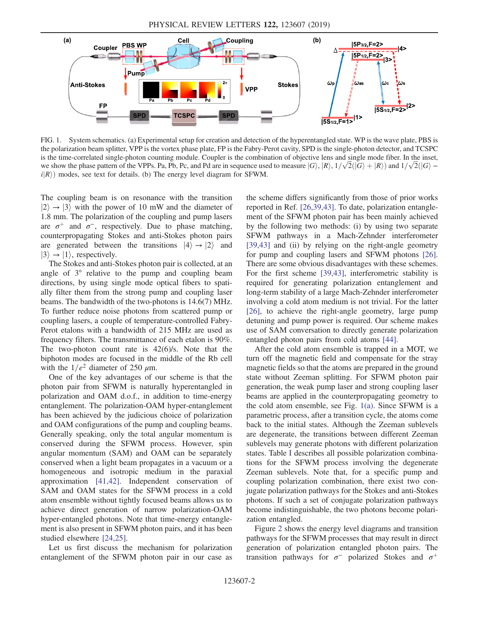<span id="page-1-0"></span>

FIG. 1. System schematics. (a) Experimental setup for creation and detection of the hyperentangled state. WP is the wave plate, PBS is the polarization beam splitter, VPP is the vortex phase plate, FP is the Fabry-Perot cavity, SPD is the single-photon detector, and TCSPC is the time-correlated single-photon counting module. Coupler is the combination of objective lens and single mode fiber. In the inset, we show the phase pattern of the VPPs. Pa, Pb, Pc, and Pd are in sequence used to measure  $|G\rangle$ ,  $|R\rangle$ ,  $1/\sqrt{2}(|G\rangle + |R\rangle)$  and  $1/\sqrt{2}(|G\rangle$  $i|R\rangle$  modes, see text for details. (b) The energy level diagram for SFWM.

The coupling beam is on resonance with the transition  $|2\rangle \rightarrow |3\rangle$  with the power of 10 mW and the diameter of 1.8 mm. The polarization of the coupling and pump lasers are  $\sigma^+$  and  $\sigma^-$ , respectively. Due to phase matching, counterpropagating Stokes and anti-Stokes photon pairs are generated between the transitions  $|4\rangle \rightarrow |2\rangle$  and  $|3\rangle \rightarrow |1\rangle$ , respectively.

The Stokes and anti-Stokes photon pair is collected, at an angle of 3° relative to the pump and coupling beam directions, by using single mode optical fibers to spatially filter them from the strong pump and coupling laser beams. The bandwidth of the two-photons is 14.6(7) MHz. To further reduce noise photons from scattered pump or coupling lasers, a couple of temperature-controlled Fabry-Perot etalons with a bandwidth of 215 MHz are used as frequency filters. The transmittance of each etalon is 90%. The two-photon count rate is 42(6)/s. Note that the biphoton modes are focused in the middle of the Rb cell with the  $1/e^2$  diameter of 250  $\mu$ m.

One of the key advantages of our scheme is that the photon pair from SFWM is naturally hyperentangled in polarization and OAM d.o.f., in addition to time-energy entanglement. The polarization-OAM hyper-entanglement has been achieved by the judicious choice of polarization and OAM configurations of the pump and coupling beams. Generally speaking, only the total angular momentum is conserved during the SFWM process. However, spin angular momentum (SAM) and OAM can be separately conserved when a light beam propagates in a vacuum or a homogeneous and isotropic medium in the paraxial approximation [\[41,42\].](#page-4-15) Independent conservation of SAM and OAM states for the SFWM process in a cold atom ensemble without tightly focused beams allows us to achieve direct generation of narrow polarization-OAM hyper-entangled photons. Note that time-energy entanglement is also present in SFWM photon pairs, and it has been studied elsewhere [\[24,25\].](#page-4-8)

Let us first discuss the mechanism for polarization entanglement of the SFWM photon pair in our case as the scheme differs significantly from those of prior works reported in Ref. [\[26,39,43\]](#page-4-9). To date, polarization entanglement of the SFWM photon pair has been mainly achieved by the following two methods: (i) by using two separate SFWM pathways in a Mach-Zehnder interferometer [\[39,43\]](#page-4-13) and (ii) by relying on the right-angle geometry for pump and coupling lasers and SFWM photons [\[26\]](#page-4-9). There are some obvious disadvantages with these schemes. For the first scheme [\[39,43\]](#page-4-13), interferometric stability is required for generating polarization entanglement and long-term stability of a large Mach-Zehnder interferometer involving a cold atom medium is not trivial. For the latter [\[26\]](#page-4-9), to achieve the right-angle geometry, large pump detuning and pump power is required. Our scheme makes use of SAM conversation to directly generate polarization entangled photon pairs from cold atoms [\[44\].](#page-4-16)

After the cold atom ensemble is trapped in a MOT, we turn off the magnetic field and compensate for the stray magnetic fields so that the atoms are prepared in the ground state without Zeeman splitting. For SFWM photon pair generation, the weak pump laser and strong coupling laser beams are applied in the counterpropagating geometry to the cold atom ensemble, see Fig. [1\(a\)](#page-1-0). Since SFWM is a parametric process, after a transition cycle, the atoms come back to the initial states. Although the Zeeman sublevels are degenerate, the transitions between different Zeeman sublevels may generate photons with different polarization states. Table [I](#page-2-0) describes all possible polarization combinations for the SFWM process involving the degenerate Zeeman sublevels. Note that, for a specific pump and coupling polarization combination, there exist two conjugate polarization pathways for the Stokes and anti-Stokes photons. If such a set of conjugate polarization pathways become indistinguishable, the two photons become polarization entangled.

Figure [2](#page-2-1) shows the energy level diagrams and transition pathways for the SFWM processes that may result in direct generation of polarization entangled photon pairs. The transition pathways for  $\sigma^-$  polarized Stokes and  $\sigma^+$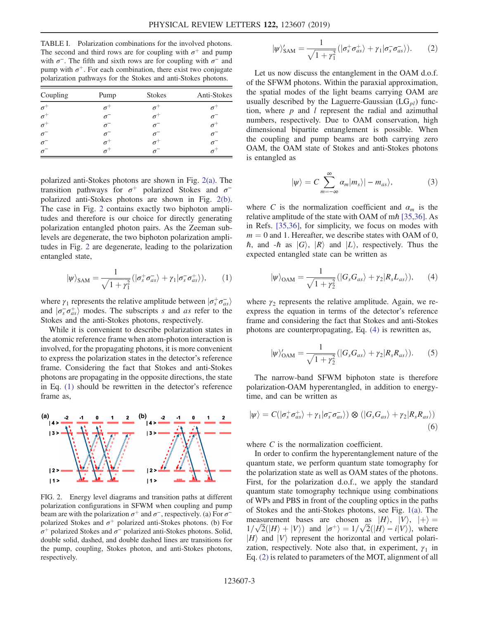<span id="page-2-0"></span>TABLE I. Polarization combinations for the involved photons. The second and third rows are for coupling with  $\sigma^+$  and pump with  $\sigma^-$ . The fifth and sixth rows are for coupling with  $\sigma^-$  and pump with  $\sigma^+$ . For each combination, there exist two conjugate polarization pathways for the Stokes and anti-Stokes photons.

| Coupling              | Pump       | <b>Stokes</b> | Anti-Stokes |
|-----------------------|------------|---------------|-------------|
| $\sigma^+$            |            |               |             |
| $\sigma^+$            | $\sigma^-$ |               |             |
| $\sigma^+$            |            |               |             |
| $\sigma$ <sup>-</sup> |            |               |             |
| $\sigma$ <sup>-</sup> | $\sigma^+$ |               |             |
|                       |            |               |             |

polarized anti-Stokes photons are shown in Fig. [2\(a\).](#page-2-1) The transition pathways for  $\sigma^+$  polarized Stokes and  $\sigma^$ polarized anti-Stokes photons are shown in Fig. [2\(b\)](#page-2-1). The case in Fig. [2](#page-2-1) contains exactly two biphoton amplitudes and therefore is our choice for directly generating polarization entangled photon pairs. As the Zeeman sublevels are degenerate, the two biphoton polarization amplitudes in Fig. [2](#page-2-1) are degenerate, leading to the polarization entangled state,

<span id="page-2-2"></span>
$$
|\psi\rangle_{\text{SAM}} = \frac{1}{\sqrt{1+\gamma_1^2}} (|\sigma_s^+ \sigma_{as}^- \rangle + \gamma_1 |\sigma_s^- \sigma_{as}^+ \rangle), \qquad (1)
$$

where  $\gamma_1$  represents the relative amplitude between  $\left| \sigma_s^+ \sigma_{as}^- \right\rangle$ and  $|\sigma_s^-\sigma_{as}^+\rangle$  modes. The subscripts s and as refer to the Stokes and the anti-Stokes photons, respectively.

While it is convenient to describe polarization states in the atomic reference frame when atom-photon interaction is involved, for the propagating photons, it is more convenient to express the polarization states in the detector's reference frame. Considering the fact that Stokes and anti-Stokes photons are propagating in the opposite directions, the state in Eq. [\(1\)](#page-2-2) should be rewritten in the detector's reference frame as,

<span id="page-2-4"></span><span id="page-2-1"></span>

FIG. 2. Energy level diagrams and transition paths at different polarization configurations in SFWM when coupling and pump beam are with the polarization  $\sigma^+$  and  $\sigma^-$ , respectively. (a) For  $\sigma^$ polarized Stokes and  $\sigma^+$  polarized anti-Stokes photons. (b) For σ<sup>+</sup> polarized Stokes and  $\sigma$ <sup>-</sup> polarized anti-Stokes photons. Solid, double solid, dashed, and double dashed lines are transitions for the pump, coupling, Stokes photon, and anti-Stokes photons, respectively.

$$
|\psi\rangle'_{\text{SAM}} = \frac{1}{\sqrt{1+\gamma_1^2}} (|\sigma_s^+ \sigma_{as}^+\rangle + \gamma_1 |\sigma_s^- \sigma_{as}^-\rangle). \tag{2}
$$

Let us now discuss the entanglement in the OAM d.o.f. of the SFWM photons. Within the paraxial approximation, the spatial modes of the light beams carrying OAM are usually described by the Laguerre-Gaussian  $(LG_{pl})$  function, where  $p$  and  $l$  represent the radial and azimuthal numbers, respectively. Due to OAM conservation, high dimensional bipartite entanglement is possible. When the coupling and pump beams are both carrying zero OAM, the OAM state of Stokes and anti-Stokes photons is entangled as

$$
|\psi\rangle = C \sum_{m=-\infty}^{\infty} \alpha_m |m_s\rangle | - m_{as}\rangle, \qquad (3)
$$

where C is the normalization coefficient and  $\alpha_m$  is the relative amplitude of the state with OAM of  $m\hbar$  [\[35,36\].](#page-4-17) As in Refs. [\[35,36\]](#page-4-17), for simplicity, we focus on modes with  $m = 0$  and 1. Hereafter, we describe states with OAM of 0,  $\hbar$ , and  $-\hbar$  as  $|G\rangle$ ,  $|R\rangle$  and  $|L\rangle$ , respectively. Thus the expected entangled state can be written as

<span id="page-2-3"></span>
$$
|\psi\rangle_{\text{OAM}} = \frac{1}{\sqrt{1+\gamma_2^2}} (|G_s G_{as}\rangle + \gamma_2 |R_s L_{as}\rangle), \qquad (4)
$$

where  $\gamma_2$  represents the relative amplitude. Again, we reexpress the equation in terms of the detector's reference frame and considering the fact that Stokes and anti-Stokes photons are counterpropagating, Eq. [\(4\)](#page-2-3) is rewritten as,

$$
|\psi\rangle'_{\text{OAM}} = \frac{1}{\sqrt{1+\gamma_2^2}} (|G_s G_{as}\rangle + \gamma_2 |R_s R_{as}\rangle). \tag{5}
$$

The narrow-band SFWM biphoton state is therefore polarization-OAM hyperentangled, in addition to energytime, and can be written as

$$
|\psi\rangle = C(|\sigma_s^+ \sigma_{as}^+\rangle + \gamma_1|\sigma_s^- \sigma_{as}^-\rangle) \otimes (|G_s G_{as}\rangle + \gamma_2|R_s R_{as}\rangle)
$$
\n(6)

where C is the normalization coefficient.

In order to confirm the hyperentanglement nature of the quantum state, we perform quantum state tomography for the polarization state as well as OAM states of the photons. First, for the polarization d.o.f., we apply the standard quantum state tomography technique using combinations of WPs and PBS in front of the coupling optics in the paths of Stokes and the anti-Stokes photons, see Fig. [1\(a\).](#page-1-0) The measurement bases are chosen as  $|H\rangle$ ,  $|V\rangle$ ,  $|+\rangle$  =  $1/\sqrt{2}(|H\rangle + |V\rangle)$  and  $|\sigma^+\rangle = 1/\sqrt{2}(|H\rangle - i|V\rangle)$ , where  $|H\rangle$  and  $|V\rangle$  represent the horizontal and vertical polarization, respectively. Note also that, in experiment,  $\gamma_1$  in Eq. [\(2\)](#page-2-4) is related to parameters of the MOT, alignment of all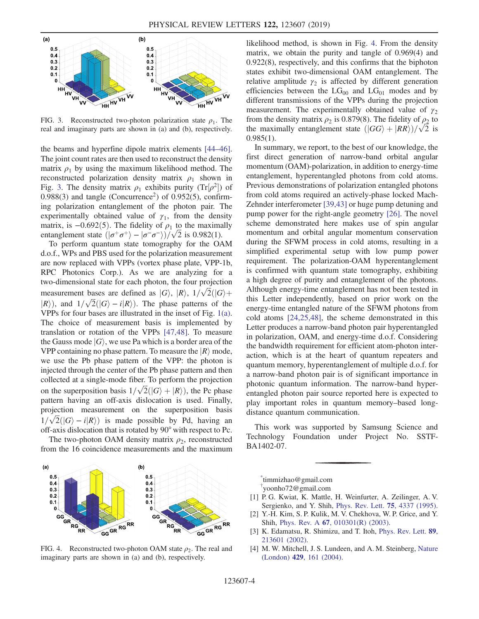<span id="page-3-4"></span>

FIG. 3. Reconstructed two-photon polarization state  $\rho_1$ . The real and imaginary parts are shown in (a) and (b), respectively.

the beams and hyperfine dipole matrix elements [\[44](#page-4-16)–46]. The joint count rates are then used to reconstruct the density matrix  $\rho_1$  by using the maximum likelihood method. The reconstructed polarization density matrix  $\rho_1$  shown in Fig. [3](#page-3-4). The density matrix  $\rho_1$  exhibits purity (Tr $[\rho^2]$ ) of  $0.988(3)$  and tangle (Concurrence<sup>2</sup>) of  $0.952(5)$ , confirming polarization entanglement of the photon pair. The experimentally obtained value of  $\gamma_1$ , from the density matrix, is  $-0.692(5)$ . The fidelity of  $\rho_1$  to the maximally entanglement state  $(|\sigma^+\sigma^+\rangle - |\sigma^-\sigma^-\rangle)/\sqrt{2}$  is 0.982(1).

To perform quantum state tomography for the OAM d.o.f., WPs and PBS used for the polarization measurement are now replaced with VPPs (vortex phase plate, VPP-1b, RPC Photonics Corp.). As we are analyzing for a two-dimensional state for each photon, the four projection measurement bases are defined as  $|G\rangle$ ,  $|R\rangle$ ,  $1/\sqrt{2}(|G\rangle +$  $|R\rangle$ ), and  $1/\sqrt{2}(|G\rangle - i|R\rangle)$ . The phase patterns of the VPPs for four bases are illustrated in the inset of Fig. [1\(a\)](#page-1-0). The choice of measurement basis is implemented by translation or rotation of the VPPs [\[47,48\].](#page-4-18) To measure the Gauss mode  $|G\rangle$ , we use Pa which is a border area of the VPP containing no phase pattern. To measure the  $|R\rangle$  mode, we use the Pb phase pattern of the VPP: the photon is injected through the center of the Pb phase pattern and then collected at a single-mode fiber. To perform the projection on the superposition basis  $1/\sqrt{2}(|G\rangle + |R\rangle)$ , the Pc phase pattern having an off-axis dislocation is used. Finally, projection measurement on the superposition basis  $1/\sqrt{2}(|G\rangle - i|R\rangle)$  is made possible by Pd, having an off-axis dislocation that is rotated by 90° with respect to Pc.

The two-photon OAM density matrix  $\rho_2$ , reconstructed from the 16 coincidence measurements and the maximum

<span id="page-3-5"></span>

FIG. 4. Reconstructed two-photon OAM state  $\rho_2$ . The real and imaginary parts are shown in (a) and (b), respectively.

likelihood method, is shown in Fig. [4.](#page-3-5) From the density matrix, we obtain the purity and tangle of 0.969(4) and 0.922(8), respectively, and this confirms that the biphoton states exhibit two-dimensional OAM entanglement. The relative amplitude  $\gamma_2$  is affected by different generation efficiencies between the  $LG_{00}$  and  $LG_{01}$  modes and by different transmissions of the VPPs during the projection measurement. The experimentally obtained value of  $\gamma_2$ from the density matrix  $\rho_2$  is 0.879(8). The fidelity of  $\rho_2$  to the maximally entanglement state  $(|GG\rangle + |RR\rangle)/\sqrt{2}$  is  $0.985(1)$ .

In summary, we report, to the best of our knowledge, the first direct generation of narrow-band orbital angular momentum (OAM)-polarization, in addition to energy-time entanglement, hyperentangled photons from cold atoms. Previous demonstrations of polarization entangled photons from cold atoms required an actively-phase locked Mach-Zehnder interferometer [\[39,43\]](#page-4-13) or huge pump detuning and pump power for the right-angle geometry [\[26\]](#page-4-9). The novel scheme demonstrated here makes use of spin angular momentum and orbital angular momentum conservation during the SFWM process in cold atoms, resulting in a simplified experimental setup with low pump power requirement. The polarization-OAM hyperentanglement is confirmed with quantum state tomography, exhibiting a high degree of purity and entanglement of the photons. Although energy-time entanglement has not been tested in this Letter independently, based on prior work on the energy-time entangled nature of the SFWM photons from cold atoms [\[24,25,48\],](#page-4-8) the scheme demonstrated in this Letter produces a narrow-band photon pair hyperentangled in polarization, OAM, and energy-time d.o.f. Considering the bandwidth requirement for efficient atom-photon interaction, which is at the heart of quantum repeaters and quantum memory, hyperentanglement of multiple d.o.f. for a narrow-band photon pair is of significant importance in photonic quantum information. The narrow-band hyperentangled photon pair source reported here is expected to play important roles in quantum memory–based longdistance quantum communication.

This work was supported by Samsung Science and Technology Foundation under Project No. SSTF-BA1402-07.

<span id="page-3-1"></span><span id="page-3-0"></span>[\\*](#page-0-0) timmizhao@gmail.com

<span id="page-3-2"></span>[†](#page-0-0) yoonho72@gmail.com

- [1] P. G. Kwiat, K. Mattle, H. Weinfurter, A. Zeilinger, A. V. Sergienko, and Y. Shih, [Phys. Rev. Lett.](https://doi.org/10.1103/PhysRevLett.75.4337) 75, 4337 (1995).
- <span id="page-3-3"></span>[2] Y.-H. Kim, S. P. Kulik, M. V. Chekhova, W. P. Grice, and Y. Shih, Phys. Rev. A 67[, 010301\(R\) \(2003\).](https://doi.org/10.1103/PhysRevA.67.010301)
- [3] K. Edamatsu, R. Shimizu, and T. Itoh, [Phys. Rev. Lett.](https://doi.org/10.1103/PhysRevLett.89.213601) 89, [213601 \(2002\).](https://doi.org/10.1103/PhysRevLett.89.213601)
- [4] M. W. Mitchell, J. S. Lundeen, and A. M. Steinberg, [Nature](https://doi.org/10.1038/nature02493) (London) 429[, 161 \(2004\)](https://doi.org/10.1038/nature02493).